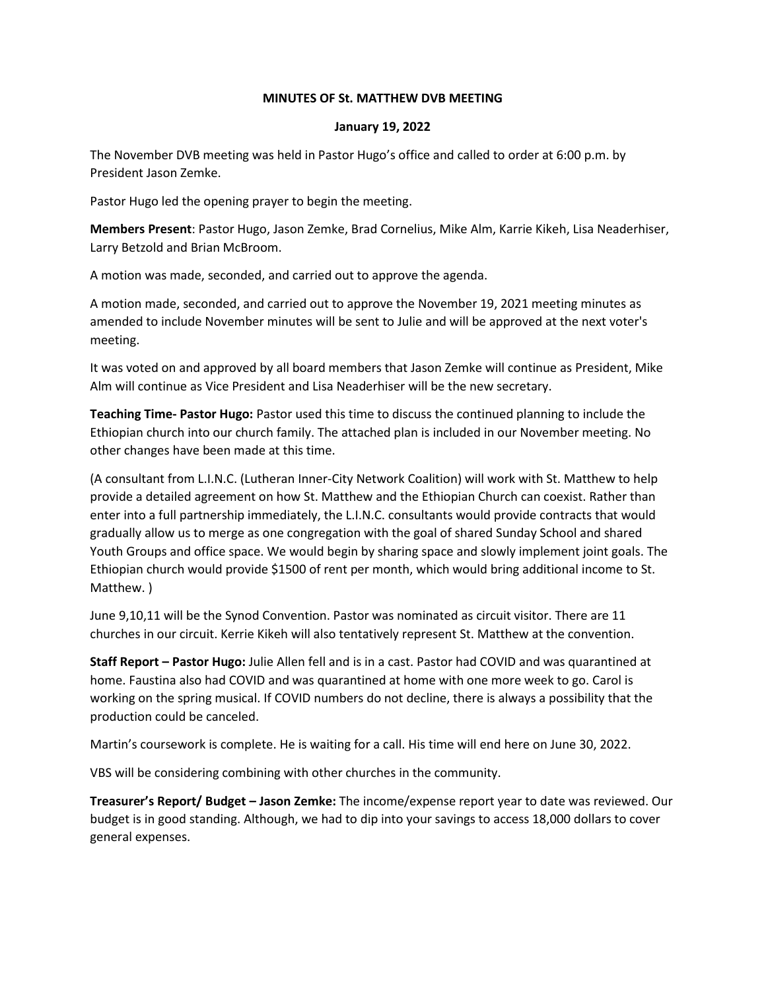## **MINUTES OF St. MATTHEW DVB MEETING**

## **January 19, 2022**

The November DVB meeting was held in Pastor Hugo's office and called to order at 6:00 p.m. by President Jason Zemke.

Pastor Hugo led the opening prayer to begin the meeting.

**Members Present**: Pastor Hugo, Jason Zemke, Brad Cornelius, Mike Alm, Karrie Kikeh, Lisa Neaderhiser, Larry Betzold and Brian McBroom.

A motion was made, seconded, and carried out to approve the agenda.

A motion made, seconded, and carried out to approve the November 19, 2021 meeting minutes as amended to include November minutes will be sent to Julie and will be approved at the next voter's meeting.

It was voted on and approved by all board members that Jason Zemke will continue as President, Mike Alm will continue as Vice President and Lisa Neaderhiser will be the new secretary.

**Teaching Time- Pastor Hugo:** Pastor used this time to discuss the continued planning to include the Ethiopian church into our church family. The attached plan is included in our November meeting. No other changes have been made at this time.

(A consultant from L.I.N.C. (Lutheran Inner-City Network Coalition) will work with St. Matthew to help provide a detailed agreement on how St. Matthew and the Ethiopian Church can coexist. Rather than enter into a full partnership immediately, the L.I.N.C. consultants would provide contracts that would gradually allow us to merge as one congregation with the goal of shared Sunday School and shared Youth Groups and office space. We would begin by sharing space and slowly implement joint goals. The Ethiopian church would provide \$1500 of rent per month, which would bring additional income to St. Matthew. )

June 9,10,11 will be the Synod Convention. Pastor was nominated as circuit visitor. There are 11 churches in our circuit. Kerrie Kikeh will also tentatively represent St. Matthew at the convention.

**Staff Report – Pastor Hugo:** Julie Allen fell and is in a cast. Pastor had COVID and was quarantined at home. Faustina also had COVID and was quarantined at home with one more week to go. Carol is working on the spring musical. If COVID numbers do not decline, there is always a possibility that the production could be canceled.

Martin's coursework is complete. He is waiting for a call. His time will end here on June 30, 2022.

VBS will be considering combining with other churches in the community.

**Treasurer's Report/ Budget – Jason Zemke:** The income/expense report year to date was reviewed. Our budget is in good standing. Although, we had to dip into your savings to access 18,000 dollars to cover general expenses.